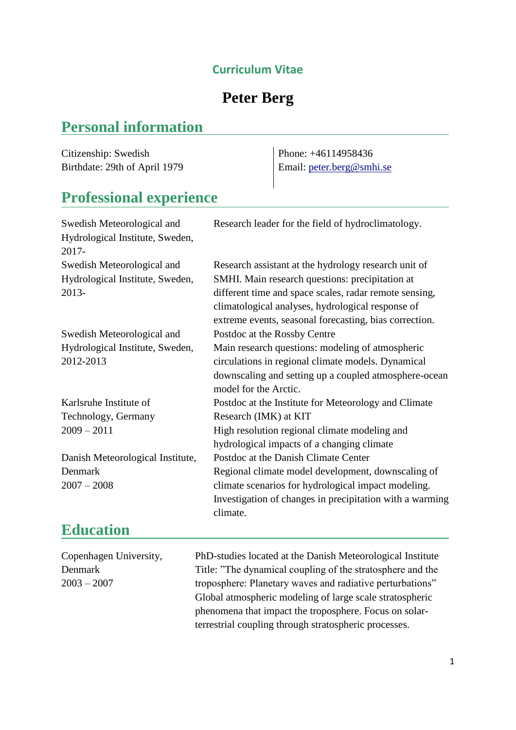## **Curriculum Vitae**

## **Peter Berg**

## **Personal information**

Citizenship: Swedish Birthdate: 29th of April 1979

Phone: +46114958436 Email: [peter.berg@smhi.se](mailto:peter.berg@smhi.se)

## **Professional experience**

| Swedish Meteorological and       | Research leader for the field of hydroclimatology.       |
|----------------------------------|----------------------------------------------------------|
| Hydrological Institute, Sweden,  |                                                          |
| 2017-                            |                                                          |
| Swedish Meteorological and       | Research assistant at the hydrology research unit of     |
| Hydrological Institute, Sweden,  | SMHI. Main research questions: precipitation at          |
| 2013-                            | different time and space scales, radar remote sensing,   |
|                                  | climatological analyses, hydrological response of        |
|                                  | extreme events, seasonal forecasting, bias correction.   |
| Swedish Meteorological and       | Postdoc at the Rossby Centre                             |
| Hydrological Institute, Sweden,  | Main research questions: modeling of atmospheric         |
| 2012-2013                        | circulations in regional climate models. Dynamical       |
|                                  | downscaling and setting up a coupled atmosphere-ocean    |
|                                  | model for the Arctic.                                    |
| Karlsruhe Institute of           | Postdoc at the Institute for Meteorology and Climate     |
| Technology, Germany              | Research (IMK) at KIT                                    |
| $2009 - 2011$                    | High resolution regional climate modeling and            |
|                                  | hydrological impacts of a changing climate               |
| Danish Meteorological Institute, | Postdoc at the Danish Climate Center                     |
| Denmark                          | Regional climate model development, downscaling of       |
| $2007 - 2008$                    | climate scenarios for hydrological impact modeling.      |
|                                  | Investigation of changes in precipitation with a warming |
|                                  | climate.                                                 |
| <b>Education</b>                 |                                                          |

| Copenhagen University, | PhD-studies located at the Danish Meteorological Institute |
|------------------------|------------------------------------------------------------|
| Denmark                | Title: "The dynamical coupling of the stratosphere and the |
| $2003 - 2007$          | troposphere: Planetary waves and radiative perturbations"  |
|                        | Global atmospheric modeling of large scale stratospheric   |
|                        | phenomena that impact the troposphere. Focus on solar-     |
|                        | terrestrial coupling through stratospheric processes.      |